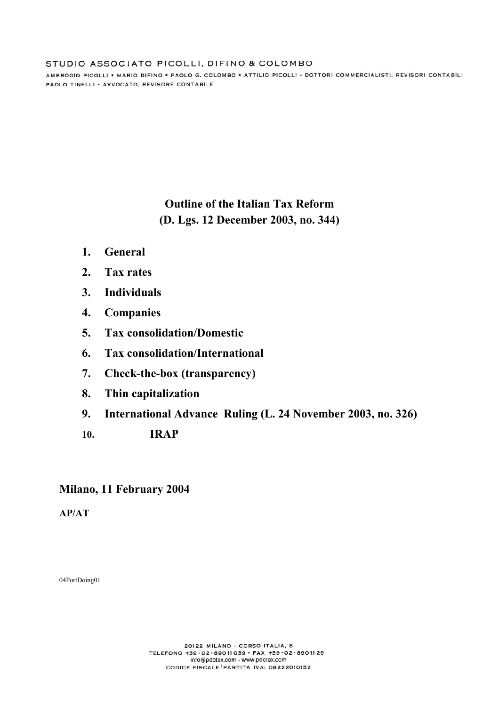AMBROGIO PICOLLI \* MARIO DIFINO \* PAOLO G. COLOMBO \* ATTILIO PICOLLI - DOTTORI COMMERCIALISTI, REVISORI CONTABILI PAOLO TINELLI - AVVOCATO, REVISORE CONTABILE

# **Outline of the Italian Tax Reform (D. Lgs. 12 December 2003, no. 344)**

- **1. General**
- **2. Tax rates**
- **3. Individuals**
- **4. Companies**
- **5. Tax consolidation/Domestic**
- **6. Tax consolidation/International**
- **7. Check-the-box (transparency)**
- **8. Thin capitalization**
- **9. International Advance Ruling (L. 24 November 2003, no. 326)**
- **10. IRAP**

# **Milano, 11 February 2004**

**AP/AT** 

04PortDoing01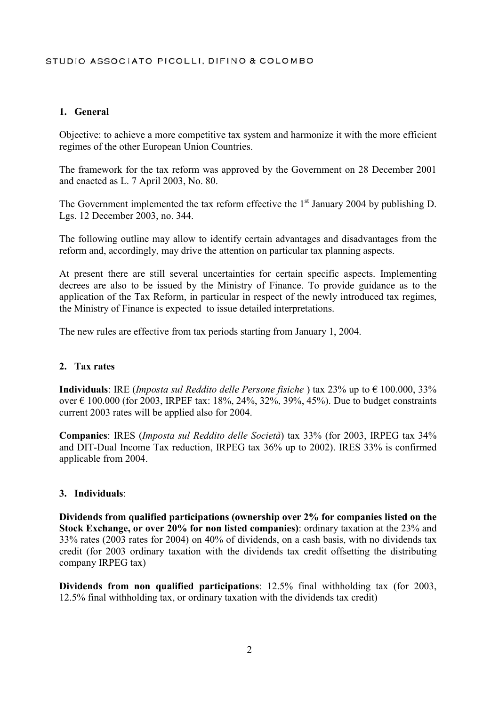### **1. General**

Objective: to achieve a more competitive tax system and harmonize it with the more efficient regimes of the other European Union Countries.

The framework for the tax reform was approved by the Government on 28 December 2001 and enacted as L. 7 April 2003, No. 80.

The Government implemented the tax reform effective the  $1<sup>st</sup>$  January 2004 by publishing D. Lgs. 12 December 2003, no. 344.

The following outline may allow to identify certain advantages and disadvantages from the reform and, accordingly, may drive the attention on particular tax planning aspects.

At present there are still several uncertainties for certain specific aspects. Implementing decrees are also to be issued by the Ministry of Finance. To provide guidance as to the application of the Tax Reform, in particular in respect of the newly introduced tax regimes, the Ministry of Finance is expected to issue detailed interpretations.

The new rules are effective from tax periods starting from January 1, 2004.

#### **2. Tax rates**

**Individuals**: IRE (*Imposta sul Reddito delle Persone fisiche* ) tax 23% up to € 100.000, 33% over € 100.000 (for 2003, IRPEF tax: 18%, 24%, 32%, 39%, 45%). Due to budget constraints current 2003 rates will be applied also for 2004.

**Companies**: IRES (*Imposta sul Reddito delle Società*) tax 33% (for 2003, IRPEG tax 34% and DIT-Dual Income Tax reduction, IRPEG tax 36% up to 2002). IRES 33% is confirmed applicable from 2004.

#### **3. Individuals**:

**Dividends from qualified participations (ownership over 2% for companies listed on the Stock Exchange, or over 20% for non listed companies)**: ordinary taxation at the 23% and 33% rates (2003 rates for 2004) on 40% of dividends, on a cash basis, with no dividends tax credit (for 2003 ordinary taxation with the dividends tax credit offsetting the distributing company IRPEG tax)

**Dividends from non qualified participations**: 12.5% final withholding tax (for 2003, 12.5% final withholding tax, or ordinary taxation with the dividends tax credit)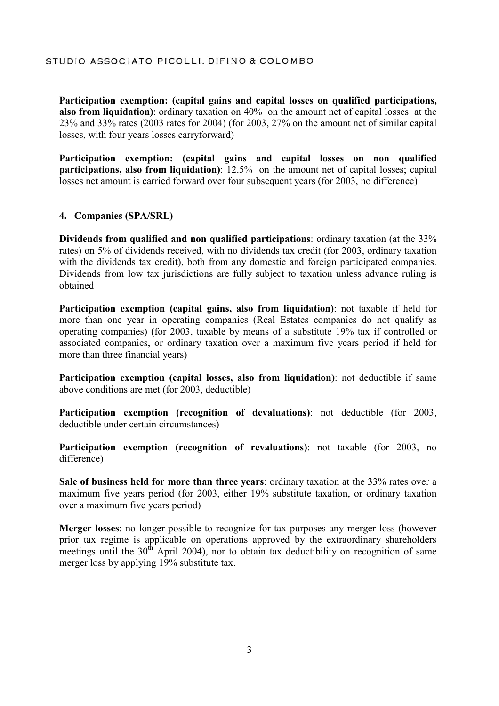**Participation exemption: (capital gains and capital losses on qualified participations, also from liquidation)**: ordinary taxation on 40% on the amount net of capital losses at the 23% and 33% rates (2003 rates for 2004) (for 2003, 27% on the amount net of similar capital losses, with four years losses carryforward)

**Participation exemption: (capital gains and capital losses on non qualified participations, also from liquidation)**: 12.5% on the amount net of capital losses; capital losses net amount is carried forward over four subsequent years (for 2003, no difference)

#### **4. Companies (SPA/SRL)**

**Dividends from qualified and non qualified participations**: ordinary taxation (at the 33% rates) on 5% of dividends received, with no dividends tax credit (for 2003, ordinary taxation with the dividends tax credit), both from any domestic and foreign participated companies. Dividends from low tax jurisdictions are fully subject to taxation unless advance ruling is obtained

**Participation exemption (capital gains, also from liquidation)**: not taxable if held for more than one year in operating companies (Real Estates companies do not qualify as operating companies) (for 2003, taxable by means of a substitute 19% tax if controlled or associated companies, or ordinary taxation over a maximum five years period if held for more than three financial years)

**Participation exemption (capital losses, also from liquidation)**: not deductible if same above conditions are met (for 2003, deductible)

**Participation exemption (recognition of devaluations)**: not deductible (for 2003, deductible under certain circumstances)

**Participation exemption (recognition of revaluations)**: not taxable (for 2003, no difference)

**Sale of business held for more than three years**: ordinary taxation at the 33% rates over a maximum five years period (for 2003, either 19% substitute taxation, or ordinary taxation over a maximum five years period)

**Merger losses**: no longer possible to recognize for tax purposes any merger loss (however prior tax regime is applicable on operations approved by the extraordinary shareholders meetings until the  $30<sup>th</sup>$  April 2004), nor to obtain tax deductibility on recognition of same merger loss by applying 19% substitute tax.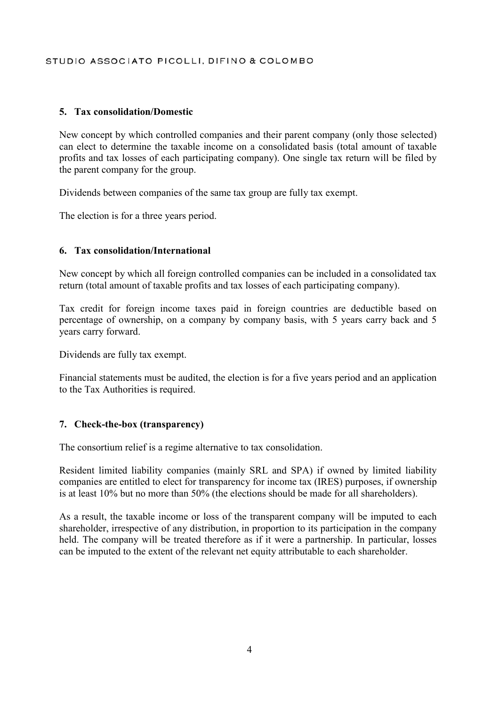### **5. Tax consolidation/Domestic**

New concept by which controlled companies and their parent company (only those selected) can elect to determine the taxable income on a consolidated basis (total amount of taxable profits and tax losses of each participating company). One single tax return will be filed by the parent company for the group.

Dividends between companies of the same tax group are fully tax exempt.

The election is for a three years period.

#### **6. Tax consolidation/International**

New concept by which all foreign controlled companies can be included in a consolidated tax return (total amount of taxable profits and tax losses of each participating company).

Tax credit for foreign income taxes paid in foreign countries are deductible based on percentage of ownership, on a company by company basis, with 5 years carry back and 5 years carry forward.

Dividends are fully tax exempt.

Financial statements must be audited, the election is for a five years period and an application to the Tax Authorities is required.

#### **7. Check-the-box (transparency)**

The consortium relief is a regime alternative to tax consolidation.

Resident limited liability companies (mainly SRL and SPA) if owned by limited liability companies are entitled to elect for transparency for income tax (IRES) purposes, if ownership is at least 10% but no more than 50% (the elections should be made for all shareholders).

As a result, the taxable income or loss of the transparent company will be imputed to each shareholder, irrespective of any distribution, in proportion to its participation in the company held. The company will be treated therefore as if it were a partnership. In particular, losses can be imputed to the extent of the relevant net equity attributable to each shareholder.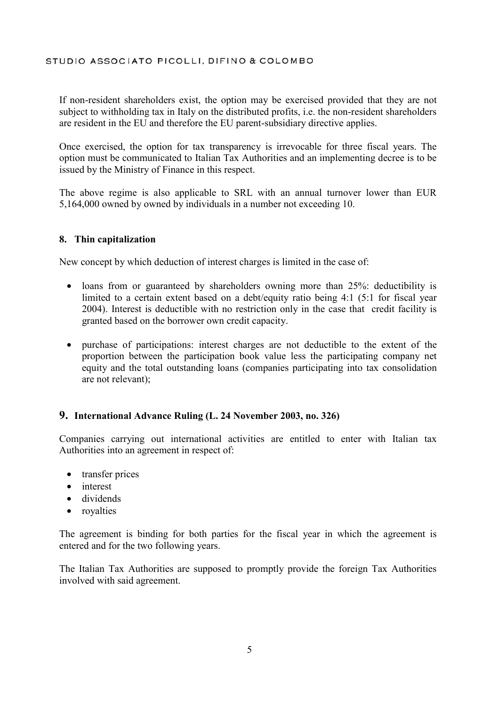If non-resident shareholders exist, the option may be exercised provided that they are not subject to withholding tax in Italy on the distributed profits, i.e. the non-resident shareholders are resident in the EU and therefore the EU parent-subsidiary directive applies.

Once exercised, the option for tax transparency is irrevocable for three fiscal years. The option must be communicated to Italian Tax Authorities and an implementing decree is to be issued by the Ministry of Finance in this respect.

The above regime is also applicable to SRL with an annual turnover lower than EUR 5,164,000 owned by owned by individuals in a number not exceeding 10.

#### **8. Thin capitalization**

New concept by which deduction of interest charges is limited in the case of:

- loans from or guaranteed by shareholders owning more than 25%: deductibility is limited to a certain extent based on a debt/equity ratio being 4:1 (5:1 for fiscal year 2004). Interest is deductible with no restriction only in the case that credit facility is granted based on the borrower own credit capacity.
- purchase of participations: interest charges are not deductible to the extent of the proportion between the participation book value less the participating company net equity and the total outstanding loans (companies participating into tax consolidation are not relevant);

# **9. International Advance Ruling (L. 24 November 2003, no. 326)**

Companies carrying out international activities are entitled to enter with Italian tax Authorities into an agreement in respect of:

- transfer prices
- interest
- dividends
- royalties

The agreement is binding for both parties for the fiscal year in which the agreement is entered and for the two following years.

The Italian Tax Authorities are supposed to promptly provide the foreign Tax Authorities involved with said agreement.